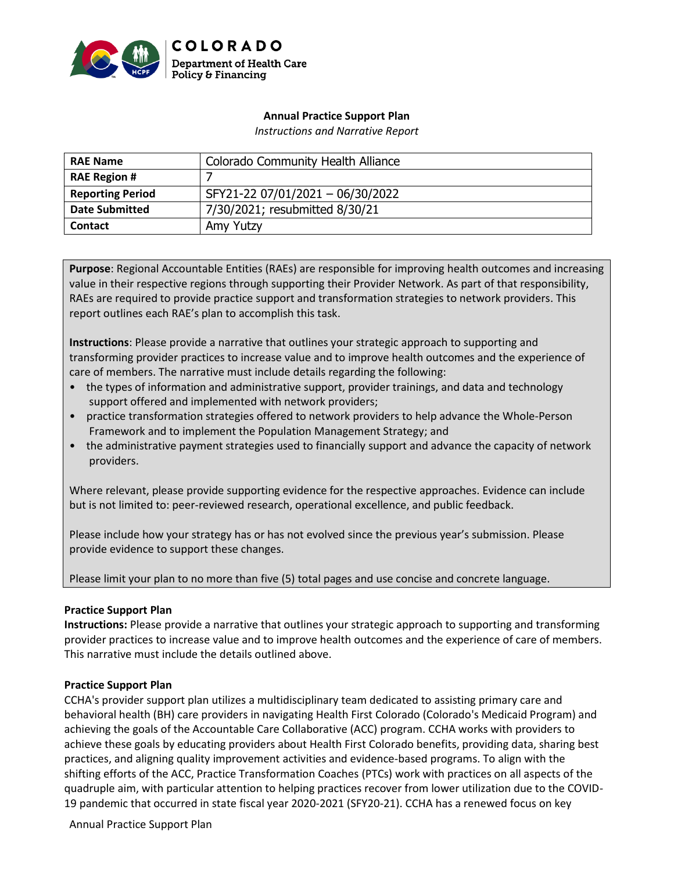

### **Annual Practice Support Plan**

*Instructions and Narrative Report*

| <b>RAE Name</b>         | <b>Colorado Community Health Alliance</b> |
|-------------------------|-------------------------------------------|
| <b>RAE Region #</b>     |                                           |
| <b>Reporting Period</b> | SFY21-22 07/01/2021 - 06/30/2022          |
| <b>Date Submitted</b>   | 7/30/2021; resubmitted 8/30/21            |
| <b>Contact</b>          | Amy Yutzy                                 |

**Purpose**: Regional Accountable Entities (RAEs) are responsible for improving health outcomes and increasing value in their respective regions through supporting their Provider Network. As part of that responsibility, RAEs are required to provide practice support and transformation strategies to network providers. This report outlines each RAE's plan to accomplish this task.

**Instructions**: Please provide a narrative that outlines your strategic approach to supporting and transforming provider practices to increase value and to improve health outcomes and the experience of care of members. The narrative must include details regarding the following:

- the types of information and administrative support, provider trainings, and data and technology support offered and implemented with network providers;
- practice transformation strategies offered to network providers to help advance the Whole-Person Framework and to implement the Population Management Strategy; and
- the administrative payment strategies used to financially support and advance the capacity of network providers.

Where relevant, please provide supporting evidence for the respective approaches. Evidence can include but is not limited to: peer-reviewed research, operational excellence, and public feedback.

Please include how your strategy has or has not evolved since the previous year's submission. Please provide evidence to support these changes.

Please limit your plan to no more than five (5) total pages and use concise and concrete language.

### **Practice Support Plan**

**Instructions:** Please provide a narrative that outlines your strategic approach to supporting and transforming provider practices to increase value and to improve health outcomes and the experience of care of members. This narrative must include the details outlined above.

### **Practice Support Plan**

CCHA's provider support plan utilizes a multidisciplinary team dedicated to assisting primary care and behavioral health (BH) care providers in navigating Health First Colorado (Colorado's Medicaid Program) and achieving the goals of the Accountable Care Collaborative (ACC) program. CCHA works with providers to achieve these goals by educating providers about Health First Colorado benefits, providing data, sharing best practices, and aligning quality improvement activities and evidence-based programs. To align with the shifting efforts of the ACC, Practice Transformation Coaches (PTCs) work with practices on all aspects of the quadruple aim, with particular attention to helping practices recover from lower utilization due to the COVID-19 pandemic that occurred in state fiscal year 2020-2021 (SFY20-21). CCHA has a renewed focus on key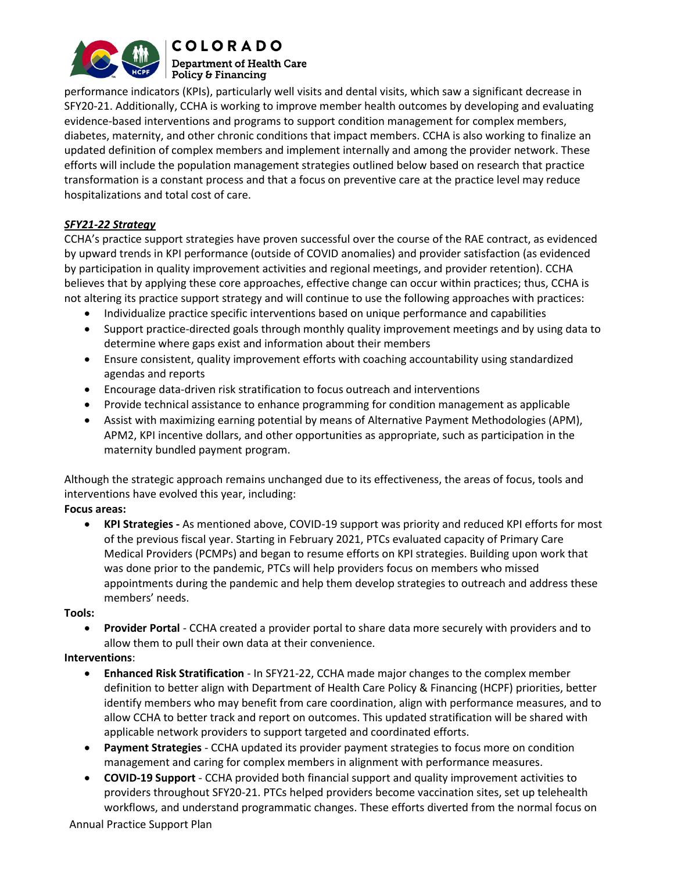

performance indicators (KPIs), particularly well visits and dental visits, which saw a significant decrease in SFY20-21. Additionally, CCHA is working to improve member health outcomes by developing and evaluating evidence-based interventions and programs to support condition management for complex members, diabetes, maternity, and other chronic conditions that impact members. CCHA is also working to finalize an updated definition of complex members and implement internally and among the provider network. These efforts will include the population management strategies outlined below based on research that practice transformation is a constant process and that a focus on preventive care at the practice level may reduce hospitalizations and total cost of care.

## *SFY21-22 Strategy*

CCHA's practice support strategies have proven successful over the course of the RAE contract, as evidenced by upward trends in KPI performance (outside of COVID anomalies) and provider satisfaction (as evidenced by participation in quality improvement activities and regional meetings, and provider retention). CCHA believes that by applying these core approaches, effective change can occur within practices; thus, CCHA is not altering its practice support strategy and will continue to use the following approaches with practices:

- Individualize practice specific interventions based on unique performance and capabilities
- Support practice-directed goals through monthly quality improvement meetings and by using data to determine where gaps exist and information about their members
- Ensure consistent, quality improvement efforts with coaching accountability using standardized agendas and reports
- Encourage data-driven risk stratification to focus outreach and interventions
- Provide technical assistance to enhance programming for condition management as applicable
- Assist with maximizing earning potential by means of Alternative Payment Methodologies (APM), APM2, KPI incentive dollars, and other opportunities as appropriate, such as participation in the maternity bundled payment program.

Although the strategic approach remains unchanged due to its effectiveness, the areas of focus, tools and interventions have evolved this year, including:

### **Focus areas:**

• **KPI Strategies -** As mentioned above, COVID-19 support was priority and reduced KPI efforts for most of the previous fiscal year. Starting in February 2021, PTCs evaluated capacity of Primary Care Medical Providers (PCMPs) and began to resume efforts on KPI strategies. Building upon work that was done prior to the pandemic, PTCs will help providers focus on members who missed appointments during the pandemic and help them develop strategies to outreach and address these members' needs.

### **Tools:**

• **Provider Portal** - CCHA created a provider portal to share data more securely with providers and to allow them to pull their own data at their convenience.

## **Interventions**:

- **Enhanced Risk Stratification** In SFY21-22, CCHA made major changes to the complex member definition to better align with Department of Health Care Policy & Financing (HCPF) priorities, better identify members who may benefit from care coordination, align with performance measures, and to allow CCHA to better track and report on outcomes. This updated stratification will be shared with applicable network providers to support targeted and coordinated efforts.
- **Payment Strategies** CCHA updated its provider payment strategies to focus more on condition management and caring for complex members in alignment with performance measures.
- **COVID-19 Support** CCHA provided both financial support and quality improvement activities to providers throughout SFY20-21. PTCs helped providers become vaccination sites, set up telehealth workflows, and understand programmatic changes. These efforts diverted from the normal focus on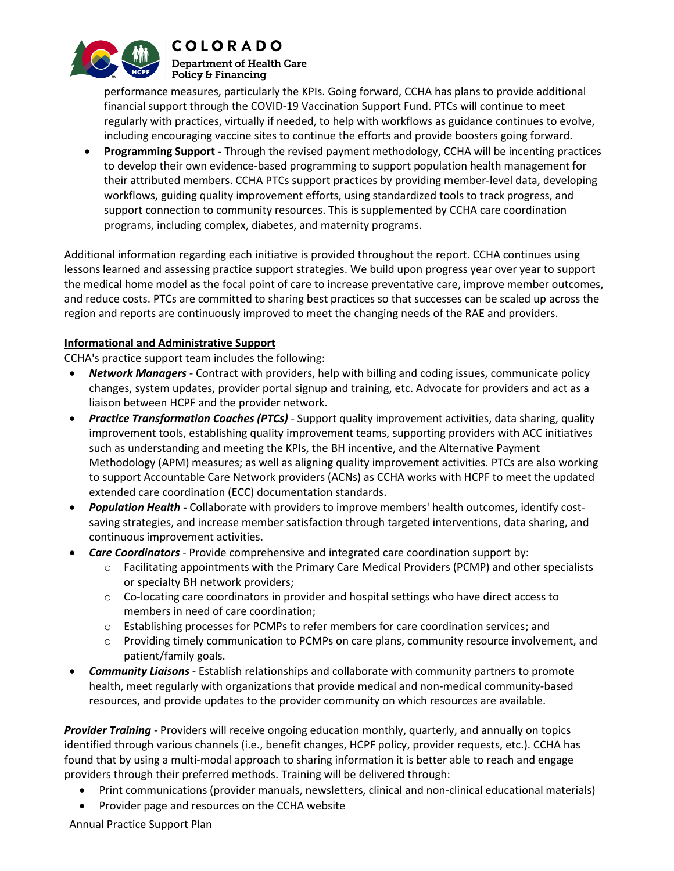

performance measures, particularly the KPIs. Going forward, CCHA has plans to provide additional financial support through the COVID-19 Vaccination Support Fund. PTCs will continue to meet regularly with practices, virtually if needed, to help with workflows as guidance continues to evolve, including encouraging vaccine sites to continue the efforts and provide boosters going forward.

• **Programming Support -** Through the revised payment methodology, CCHA will be incenting practices to develop their own evidence-based programming to support population health management for their attributed members. CCHA PTCs support practices by providing member-level data, developing workflows, guiding quality improvement efforts, using standardized tools to track progress, and support connection to community resources. This is supplemented by CCHA care coordination programs, including complex, diabetes, and maternity programs.

Additional information regarding each initiative is provided throughout the report. CCHA continues using lessons learned and assessing practice support strategies. We build upon progress year over year to support the medical home model as the focal point of care to increase preventative care, improve member outcomes, and reduce costs. PTCs are committed to sharing best practices so that successes can be scaled up across the region and reports are continuously improved to meet the changing needs of the RAE and providers.

## **Informational and Administrative Support**

CCHA's practice support team includes the following:

- *Network Managers -* Contract with providers, help with billing and coding issues, communicate policy changes, system updates, provider portal signup and training, etc. Advocate for providers and act as a liaison between HCPF and the provider network.
- *Practice Transformation Coaches (PTCs) -* Support quality improvement activities, data sharing, quality improvement tools, establishing quality improvement teams, supporting providers with ACC initiatives such as understanding and meeting the KPIs, the BH incentive, and the Alternative Payment Methodology (APM) measures; as well as aligning quality improvement activities. PTCs are also working to support Accountable Care Network providers (ACNs) as CCHA works with HCPF to meet the updated extended care coordination (ECC) documentation standards.
- *Population Health -* Collaborate with providers to improve members' health outcomes, identify costsaving strategies, and increase member satisfaction through targeted interventions, data sharing, and continuous improvement activities.
- *Care Coordinators*  Provide comprehensive and integrated care coordination support by:
	- o Facilitating appointments with the Primary Care Medical Providers (PCMP) and other specialists or specialty BH network providers;
	- o Co-locating care coordinators in provider and hospital settings who have direct access to members in need of care coordination;
	- o Establishing processes for PCMPs to refer members for care coordination services; and
	- o Providing timely communication to PCMPs on care plans, community resource involvement, and patient/family goals.
- *Community Liaisons*  Establish relationships and collaborate with community partners to promote health, meet regularly with organizations that provide medical and non-medical community-based resources, and provide updates to the provider community on which resources are available.

*Provider Training* - Providers will receive ongoing education monthly, quarterly, and annually on topics identified through various channels (i.e., benefit changes, HCPF policy, provider requests, etc.). CCHA has found that by using a multi-modal approach to sharing information it is better able to reach and engage providers through their preferred methods. Training will be delivered through:

- Print communications (provider manuals, newsletters, clinical and non-clinical educational materials)
- Provider page and resources on the CCHA website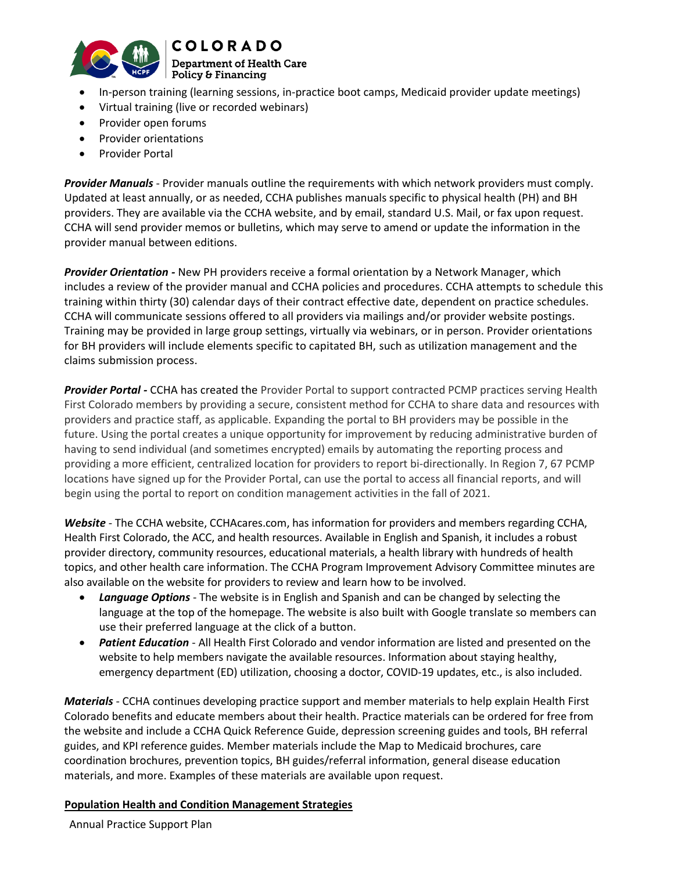

# **COLORADO**

#### **Department of Health Care**  $\mid$  Policy & Financing

- In-person training (learning sessions, in-practice boot camps, Medicaid provider update meetings)
- Virtual training (live or recorded webinars)
- Provider open forums
- Provider orientations
- Provider Portal

*Provider Manuals* - Provider manuals outline the requirements with which network providers must comply. Updated at least annually, or as needed, CCHA publishes manuals specific to physical health (PH) and BH providers. They are available via the CCHA website, and by email, standard U.S. Mail, or fax upon request. CCHA will send provider memos or bulletins, which may serve to amend or update the information in the provider manual between editions.

*Provider Orientation -* New PH providers receive a formal orientation by a Network Manager, which includes a review of the provider manual and CCHA policies and procedures. CCHA attempts to schedule this training within thirty (30) calendar days of their contract effective date, dependent on practice schedules. CCHA will communicate sessions offered to all providers via mailings and/or provider website postings. Training may be provided in large group settings, virtually via webinars, or in person. Provider orientations for BH providers will include elements specific to capitated BH, such as utilization management and the claims submission process.

*Provider Portal -* CCHA has created the Provider Portal to support contracted PCMP practices serving Health First Colorado members by providing a secure, consistent method for CCHA to share data and resources with providers and practice staff, as applicable. Expanding the portal to BH providers may be possible in the future. Using the portal creates a unique opportunity for improvement by reducing administrative burden of having to send individual (and sometimes encrypted) emails by automating the reporting process and providing a more efficient, centralized location for providers to report bi-directionally. In Region 7, 67 PCMP locations have signed up for the Provider Portal, can use the portal to access all financial reports, and will begin using the portal to report on condition management activities in the fall of 2021.

*Website* - The CCHA website[, CCHAcares.com,](http://www.cchacares.com/) has information for providers and members regarding CCHA, Health First Colorado, the ACC, and health resources. Available in English and Spanish, it includes a robust provider directory, community resources, educational materials, a health library with hundreds of health topics, and other health care information. The CCHA Program Improvement Advisory Committee minutes are also available on the website for providers to review and learn how to be involved.

- *Language Options* The website is in English and Spanish and can be changed by selecting the language at the top of the homepage. The website is also built with Google translate so members can use their preferred language at the click of a button.
- *Patient Education* All Health First Colorado and vendor information are listed and presented on the website to help members navigate the available resources. Information about staying healthy, emergency department (ED) utilization, choosing a doctor, COVID-19 updates, etc., is also included.

*Materials* - CCHA continues developing practice support and member materials to help explain Health First Colorado benefits and educate members about their health. Practice materials can be ordered for free from the website and include a CCHA Quick Reference Guide, depression screening guides and tools, BH referral guides, and KPI reference guides. Member materials include the Map to Medicaid brochures, care coordination brochures, prevention topics, BH guides/referral information, general disease education materials, and more. Examples of these materials are available upon request.

### **Population Health and Condition Management Strategies**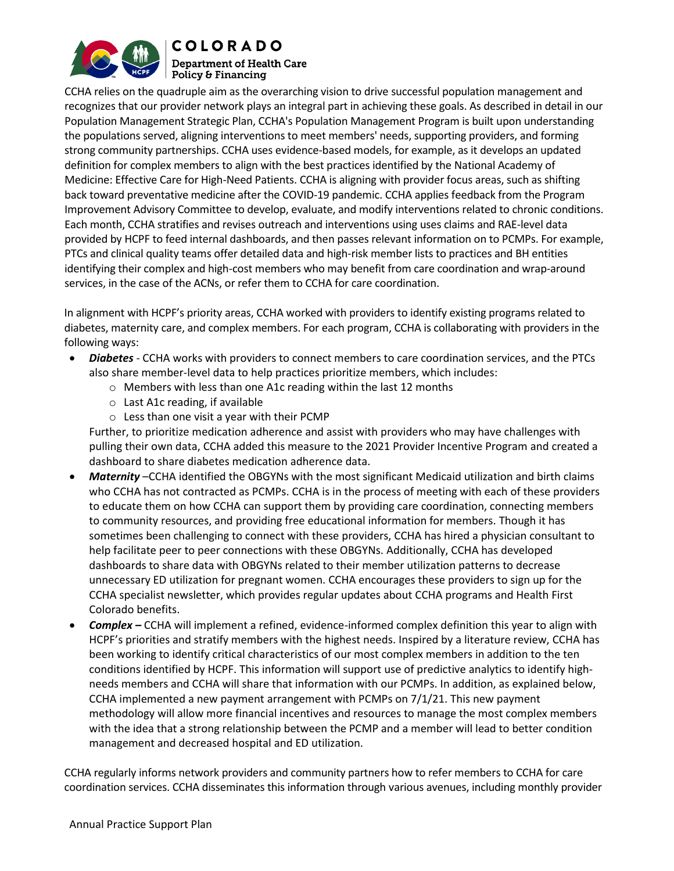

CCHA relies on the quadruple aim as the overarching vision to drive successful population management and recognizes that our provider network plays an integral part in achieving these goals. As described in detail in our Population Management Strategic Plan, CCHA's Population Management Program is built upon understanding the populations served, aligning interventions to meet members' needs, supporting providers, and forming strong community partnerships. CCHA uses evidence-based models, for example, as it develops an updated definition for complex members to align with the best practices identified by the National Academy of Medicine: Effective Care for High-Need Patients. CCHA is aligning with provider focus areas, such as shifting back toward preventative medicine after the COVID-19 pandemic. CCHA applies feedback from the Program Improvement Advisory Committee to develop, evaluate, and modify interventions related to chronic conditions. Each month, CCHA stratifies and revises outreach and interventions using uses claims and RAE-level data provided by HCPF to feed internal dashboards, and then passes relevant information on to PCMPs. For example, PTCs and clinical quality teams offer detailed data and high-risk member lists to practices and BH entities identifying their complex and high-cost members who may benefit from care coordination and wrap-around services, in the case of the ACNs, or refer them to CCHA for care coordination.

In alignment with HCPF's priority areas, CCHA worked with providers to identify existing programs related to diabetes, maternity care, and complex members. For each program, CCHA is collaborating with providers in the following ways:

- *Diabetes* CCHA works with providers to connect members to care coordination services, and the PTCs also share member-level data to help practices prioritize members, which includes:
	- o Members with less than one A1c reading within the last 12 months
	- o Last A1c reading, if available
	- o Less than one visit a year with their PCMP

Further, to prioritize medication adherence and assist with providers who may have challenges with pulling their own data, CCHA added this measure to the 2021 Provider Incentive Program and created a dashboard to share diabetes medication adherence data.

- *Maternity* –CCHA identified the OBGYNs with the most significant Medicaid utilization and birth claims who CCHA has not contracted as PCMPs. CCHA is in the process of meeting with each of these providers to educate them on how CCHA can support them by providing care coordination, connecting members to community resources, and providing free educational information for members. Though it has sometimes been challenging to connect with these providers, CCHA has hired a physician consultant to help facilitate peer to peer connections with these OBGYNs. Additionally, CCHA has developed dashboards to share data with OBGYNs related to their member utilization patterns to decrease unnecessary ED utilization for pregnant women. CCHA encourages these providers to sign up for the CCHA specialist newsletter, which provides regular updates about CCHA programs and Health First Colorado benefits.
- *Complex –* CCHA will implement a refined, evidence-informed complex definition this year to align with HCPF's priorities and stratify members with the highest needs. Inspired by a literature review, CCHA has been working to identify critical characteristics of our most complex members in addition to the ten conditions identified by HCPF. This information will support use of predictive analytics to identify highneeds members and CCHA will share that information with our PCMPs. In addition, as explained below, CCHA implemented a new payment arrangement with PCMPs on 7/1/21. This new payment methodology will allow more financial incentives and resources to manage the most complex members with the idea that a strong relationship between the PCMP and a member will lead to better condition management and decreased hospital and ED utilization.

CCHA regularly informs network providers and community partners how to refer members to CCHA for care coordination services. CCHA disseminates this information through various avenues, including monthly provider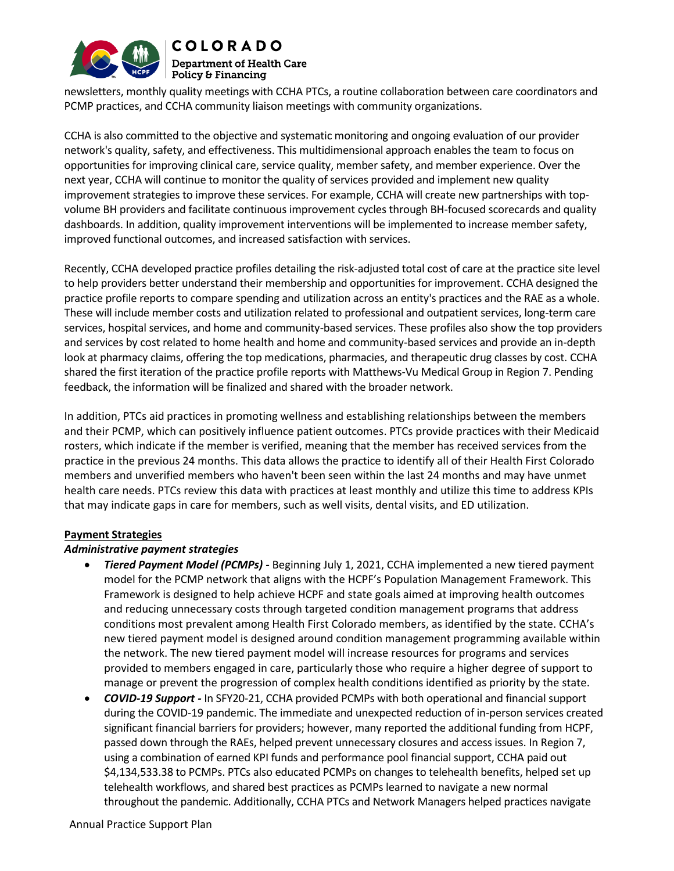

newsletters, monthly quality meetings with CCHA PTCs, a routine collaboration between care coordinators and PCMP practices, and CCHA community liaison meetings with community organizations.

CCHA is also committed to the objective and systematic monitoring and ongoing evaluation of our provider network's quality, safety, and effectiveness. This multidimensional approach enables the team to focus on opportunities for improving clinical care, service quality, member safety, and member experience. Over the next year, CCHA will continue to monitor the quality of services provided and implement new quality improvement strategies to improve these services. For example, CCHA will create new partnerships with topvolume BH providers and facilitate continuous improvement cycles through BH-focused scorecards and quality dashboards. In addition, quality improvement interventions will be implemented to increase member safety, improved functional outcomes, and increased satisfaction with services.

Recently, CCHA developed practice profiles detailing the risk-adjusted total cost of care at the practice site level to help providers better understand their membership and opportunities for improvement. CCHA designed the practice profile reports to compare spending and utilization across an entity's practices and the RAE as a whole. These will include member costs and utilization related to professional and outpatient services, long-term care services, hospital services, and home and community-based services. These profiles also show the top providers and services by cost related to home health and home and community-based services and provide an in-depth look at pharmacy claims, offering the top medications, pharmacies, and therapeutic drug classes by cost. CCHA shared the first iteration of the practice profile reports with Matthews-Vu Medical Group in Region 7. Pending feedback, the information will be finalized and shared with the broader network.

In addition, PTCs aid practices in promoting wellness and establishing relationships between the members and their PCMP, which can positively influence patient outcomes. PTCs provide practices with their Medicaid rosters, which indicate if the member is verified, meaning that the member has received services from the practice in the previous 24 months. This data allows the practice to identify all of their Health First Colorado members and unverified members who haven't been seen within the last 24 months and may have unmet health care needs. PTCs review this data with practices at least monthly and utilize this time to address KPIs that may indicate gaps in care for members, such as well visits, dental visits, and ED utilization.

### **Payment Strategies**

### *Administrative payment strategies*

- *Tiered Payment Model (PCMPs) -* Beginning July 1, 2021, CCHA implemented a new tiered payment model for the PCMP network that aligns with the HCPF's Population Management Framework. This Framework is designed to help achieve HCPF and state goals aimed at improving health outcomes and reducing unnecessary costs through targeted condition management programs that address conditions most prevalent among Health First Colorado members, as identified by the state. CCHA's new tiered payment model is designed around condition management programming available within the network. The new tiered payment model will increase resources for programs and services provided to members engaged in care, particularly those who require a higher degree of support to manage or prevent the progression of complex health conditions identified as priority by the state.
- *COVID-19 Support -* In SFY20-21, CCHA provided PCMPs with both operational and financial support during the COVID-19 pandemic. The immediate and unexpected reduction of in-person services created significant financial barriers for providers; however, many reported the additional funding from HCPF, passed down through the RAEs, helped prevent unnecessary closures and access issues. In Region 7, using a combination of earned KPI funds and performance pool financial support, CCHA paid out \$4,134,533.38 to PCMPs. PTCs also educated PCMPs on changes to telehealth benefits, helped set up telehealth workflows, and shared best practices as PCMPs learned to navigate a new normal throughout the pandemic. Additionally, CCHA PTCs and Network Managers helped practices navigate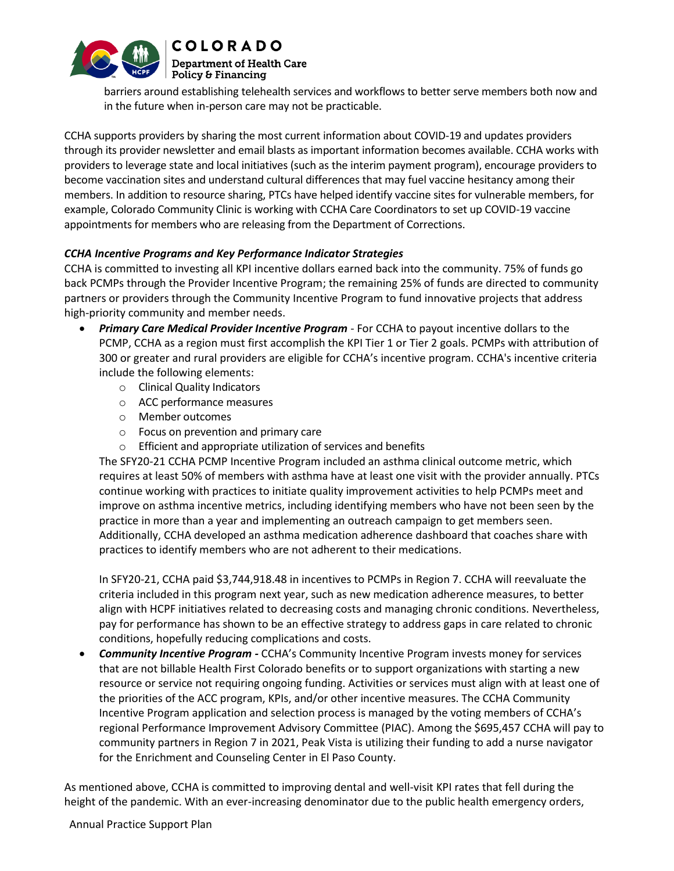

barriers around establishing telehealth services and workflows to better serve members both now and in the future when in-person care may not be practicable.

CCHA supports providers by sharing the most current information about COVID-19 and updates providers through its provider newsletter and email blasts as important information becomes available. CCHA works with providers to leverage state and local initiatives (such as the interim payment program), encourage providers to become vaccination sites and understand cultural differences that may fuel vaccine hesitancy among their members. In addition to resource sharing, PTCs have helped identify vaccine sites for vulnerable members, for example, Colorado Community Clinic is working with CCHA Care Coordinators to set up COVID-19 vaccine appointments for members who are releasing from the Department of Corrections.

## *CCHA Incentive Programs and Key Performance Indicator Strategies*

CCHA is committed to investing all KPI incentive dollars earned back into the community. 75% of funds go back PCMPs through the Provider Incentive Program; the remaining 25% of funds are directed to community partners or providers through the Community Incentive Program to fund innovative projects that address high-priority community and member needs.

- *Primary Care Medical Provider Incentive Program* For CCHA to payout incentive dollars to the PCMP, CCHA as a region must first accomplish the KPI Tier 1 or Tier 2 goals. PCMPs with attribution of 300 or greater and rural providers are eligible for CCHA's incentive program. CCHA's incentive criteria include the following elements:
	- o Clinical Quality Indicators
	- o ACC performance measures
	- o Member outcomes
	- o Focus on prevention and primary care
	- o Efficient and appropriate utilization of services and benefits

The SFY20-21 CCHA PCMP Incentive Program included an asthma clinical outcome metric, which requires at least 50% of members with asthma have at least one visit with the provider annually. PTCs continue working with practices to initiate quality improvement activities to help PCMPs meet and improve on asthma incentive metrics, including identifying members who have not been seen by the practice in more than a year and implementing an outreach campaign to get members seen. Additionally, CCHA developed an asthma medication adherence dashboard that coaches share with practices to identify members who are not adherent to their medications.

In SFY20-21, CCHA paid \$3,744,918.48 in incentives to PCMPs in Region 7. CCHA will reevaluate the criteria included in this program next year, such as new medication adherence measures, to better align with HCPF initiatives related to decreasing costs and managing chronic conditions. Nevertheless, pay for performance has shown to be an effective strategy to address gaps in care related to chronic conditions, hopefully reducing complications and costs.

• *Community Incentive Program -* CCHA's Community Incentive Program invests money for services that are not billable Health First Colorado benefits or to support organizations with starting a new resource or service not requiring ongoing funding. Activities or services must align with at least one of the priorities of the ACC program, KPIs, and/or other incentive measures. The CCHA Community Incentive Program application and selection process is managed by the voting members of CCHA's regional Performance Improvement Advisory Committee (PIAC). Among the \$695,457 CCHA will pay to community partners in Region 7 in 2021, Peak Vista is utilizing their funding to add a nurse navigator for the Enrichment and Counseling Center in El Paso County.

As mentioned above, CCHA is committed to improving dental and well-visit KPI rates that fell during the height of the pandemic. With an ever-increasing denominator due to the public health emergency orders,